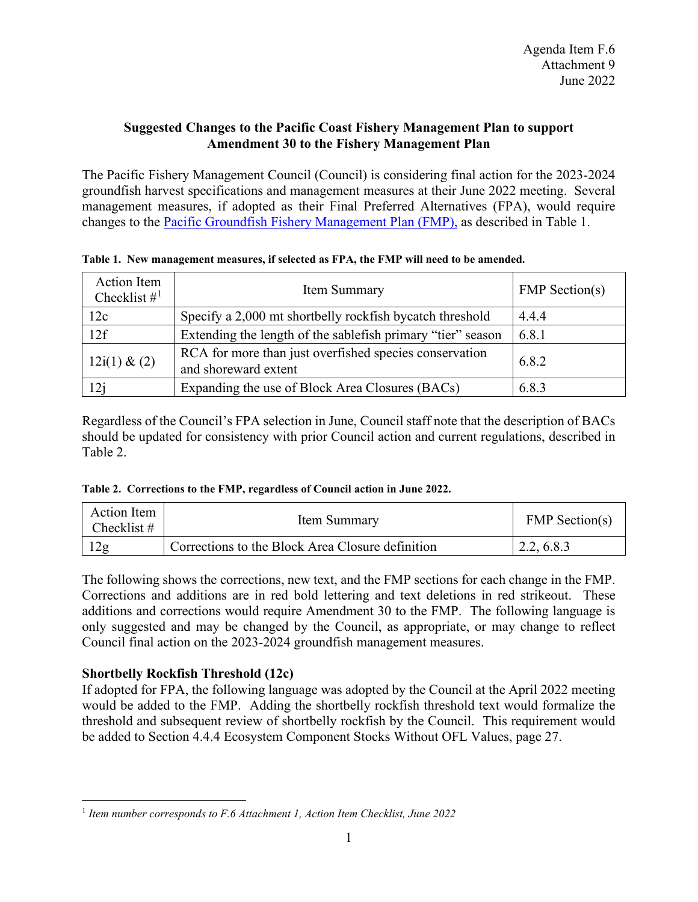## **Suggested Changes to the Pacific Coast Fishery Management Plan to support Amendment 30 to the Fishery Management Plan**

The Pacific Fishery Management Council (Council) is considering final action for the 2023-2024 groundfish harvest specifications and management measures at their June 2022 meeting. Several management measures, if adopted as their Final Preferred Alternatives (FPA), would require changes to the [Pacific Groundfish Fishery Management Plan \(FMP\),](https://www.pcouncil.org/documents/2016/08/pacific-coast-groundfish-fishery-management-plan.pdf) as described in Table 1.

| Action Item<br>Checklist $\#^1$ | Item Summary                                                                   | <b>FMP</b> Section(s) |
|---------------------------------|--------------------------------------------------------------------------------|-----------------------|
| 12c                             | Specify a 2,000 mt shortbelly rockfish bycatch threshold                       | 4.4.4                 |
| 12f                             | Extending the length of the sable fish primary "tier" season                   | 6.8.1                 |
| $12i(1) \& (2)$                 | RCA for more than just overfished species conservation<br>and shoreward extent | 6.8.2                 |
| 12j                             | Expanding the use of Block Area Closures (BACs)                                | 6.8.3                 |

**Table 1. New management measures, if selected as FPA, the FMP will need to be amended.**

Regardless of the Council's FPA selection in June, Council staff note that the description of BACs should be updated for consistency with prior Council action and current regulations, described in Table 2.

|  | Table 2. Corrections to the FMP, regardless of Council action in June 2022. |  |  |  |  |  |
|--|-----------------------------------------------------------------------------|--|--|--|--|--|
|--|-----------------------------------------------------------------------------|--|--|--|--|--|

| Action Item<br>Checklist # | Item Summary                                     | <b>FMP</b> Section(s) |  |
|----------------------------|--------------------------------------------------|-----------------------|--|
| 12g                        | Corrections to the Block Area Closure definition | 2.2, 6.8.3            |  |

The following shows the corrections, new text, and the FMP sections for each change in the FMP. Corrections and additions are in red bold lettering and text deletions in red strikeout. These additions and corrections would require Amendment 30 to the FMP. The following language is only suggested and may be changed by the Council, as appropriate, or may change to reflect Council final action on the 2023-2024 groundfish management measures.

# **Shortbelly Rockfish Threshold (12c)**

If adopted for FPA, the following language was adopted by the Council at the April 2022 meeting would be added to the FMP. Adding the shortbelly rockfish threshold text would formalize the threshold and subsequent review of shortbelly rockfish by the Council. This requirement would be added to Section 4.4.4 Ecosystem Component Stocks Without OFL Values, page 27.

<span id="page-0-0"></span><sup>1</sup> *Item number corresponds to F.6 Attachment 1, Action Item Checklist, June 2022*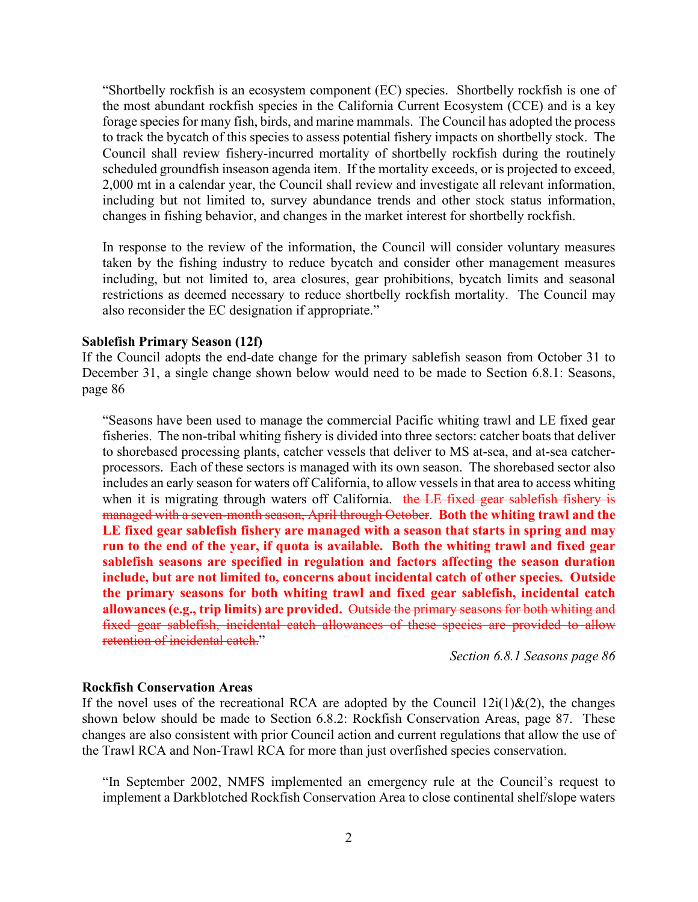"Shortbelly rockfish is an ecosystem component (EC) species. Shortbelly rockfish is one of the most abundant rockfish species in the California Current Ecosystem (CCE) and is a key forage species for many fish, birds, and marine mammals. The Council has adopted the process to track the bycatch of this species to assess potential fishery impacts on shortbelly stock. The Council shall review fishery-incurred mortality of shortbelly rockfish during the routinely scheduled groundfish inseason agenda item. If the mortality exceeds, or is projected to exceed, 2,000 mt in a calendar year, the Council shall review and investigate all relevant information, including but not limited to, survey abundance trends and other stock status information, changes in fishing behavior, and changes in the market interest for shortbelly rockfish.

In response to the review of the information, the Council will consider voluntary measures taken by the fishing industry to reduce bycatch and consider other management measures including, but not limited to, area closures, gear prohibitions, bycatch limits and seasonal restrictions as deemed necessary to reduce shortbelly rockfish mortality. The Council may also reconsider the EC designation if appropriate."

#### **Sablefish Primary Season (12f)**

If the Council adopts the end-date change for the primary sablefish season from October 31 to December 31, a single change shown below would need to be made to Section 6.8.1: Seasons, page 86

"Seasons have been used to manage the commercial Pacific whiting trawl and LE fixed gear fisheries. The non-tribal whiting fishery is divided into three sectors: catcher boats that deliver to shorebased processing plants, catcher vessels that deliver to MS at-sea, and at-sea catcherprocessors. Each of these sectors is managed with its own season. The shorebased sector also includes an early season for waters off California, to allow vessels in that area to access whiting when it is migrating through waters off California. the LE fixed gear sablefish fishery is managed with a seven-month season, April through October. **Both the whiting trawl and the LE fixed gear sablefish fishery are managed with a season that starts in spring and may run to the end of the year, if quota is available. Both the whiting trawl and fixed gear sablefish seasons are specified in regulation and factors affecting the season duration include, but are not limited to, concerns about incidental catch of other species. Outside the primary seasons for both whiting trawl and fixed gear sablefish, incidental catch allowances (e.g., trip limits) are provided.** Outside the primary seasons for both whiting and fixed gear sablefish, incidental catch allowances of these species are provided to allow retention of incidental catch."

*Section 6.8.1 Seasons page 86*

#### **Rockfish Conservation Areas**

If the novel uses of the recreational RCA are adopted by the Council  $12i(1) \& (2)$ , the changes shown below should be made to Section 6.8.2: Rockfish Conservation Areas, page 87. These changes are also consistent with prior Council action and current regulations that allow the use of the Trawl RCA and Non-Trawl RCA for more than just overfished species conservation.

"In September 2002, NMFS implemented an emergency rule at the Council's request to implement a Darkblotched Rockfish Conservation Area to close continental shelf/slope waters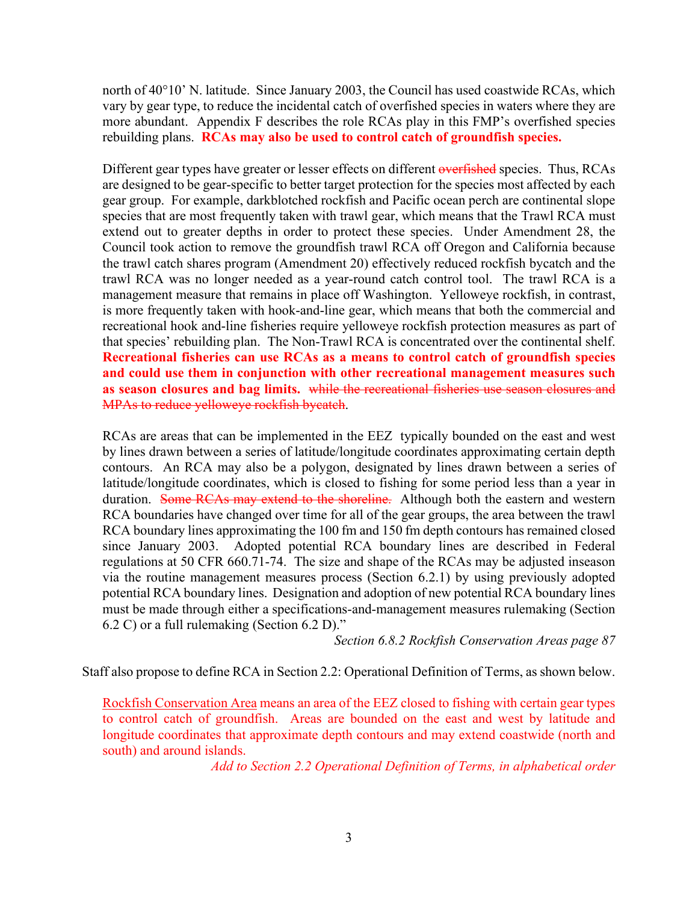north of 40°10' N. latitude. Since January 2003, the Council has used coastwide RCAs, which vary by gear type, to reduce the incidental catch of overfished species in waters where they are more abundant. Appendix F describes the role RCAs play in this FMP's overfished species rebuilding plans. **RCAs may also be used to control catch of groundfish species.**

Different gear types have greater or lesser effects on different overfished species. Thus, RCAs are designed to be gear-specific to better target protection for the species most affected by each gear group. For example, darkblotched rockfish and Pacific ocean perch are continental slope species that are most frequently taken with trawl gear, which means that the Trawl RCA must extend out to greater depths in order to protect these species. Under Amendment 28, the Council took action to remove the groundfish trawl RCA off Oregon and California because the trawl catch shares program (Amendment 20) effectively reduced rockfish bycatch and the trawl RCA was no longer needed as a year-round catch control tool. The trawl RCA is a management measure that remains in place off Washington. Yelloweye rockfish, in contrast, is more frequently taken with hook-and-line gear, which means that both the commercial and recreational hook and-line fisheries require yelloweye rockfish protection measures as part of that species' rebuilding plan. The Non-Trawl RCA is concentrated over the continental shelf. **Recreational fisheries can use RCAs as a means to control catch of groundfish species and could use them in conjunction with other recreational management measures such as season closures and bag limits.** while the recreational fisheries use season closures and MPAs to reduce yelloweye rockfish bycatch.

RCAs are areas that can be implemented in the EEZ typically bounded on the east and west by lines drawn between a series of latitude/longitude coordinates approximating certain depth contours. An RCA may also be a polygon, designated by lines drawn between a series of latitude/longitude coordinates, which is closed to fishing for some period less than a year in duration. Some RCAs may extend to the shoreline. Although both the eastern and western RCA boundaries have changed over time for all of the gear groups, the area between the trawl RCA boundary lines approximating the 100 fm and 150 fm depth contours has remained closed since January 2003. Adopted potential RCA boundary lines are described in Federal regulations at 50 CFR 660.71-74. The size and shape of the RCAs may be adjusted inseason via the routine management measures process (Section 6.2.1) by using previously adopted potential RCA boundary lines. Designation and adoption of new potential RCA boundary lines must be made through either a specifications-and-management measures rulemaking (Section 6.2 C) or a full rulemaking (Section 6.2 D)."

*Section 6.8.2 Rockfish Conservation Areas page 87*

Staff also propose to define RCA in Section 2.2: Operational Definition of Terms, as shown below.

Rockfish Conservation Area means an area of the EEZ closed to fishing with certain gear types to control catch of groundfish. Areas are bounded on the east and west by latitude and longitude coordinates that approximate depth contours and may extend coastwide (north and south) and around islands.

*Add to Section 2.2 Operational Definition of Terms, in alphabetical order*